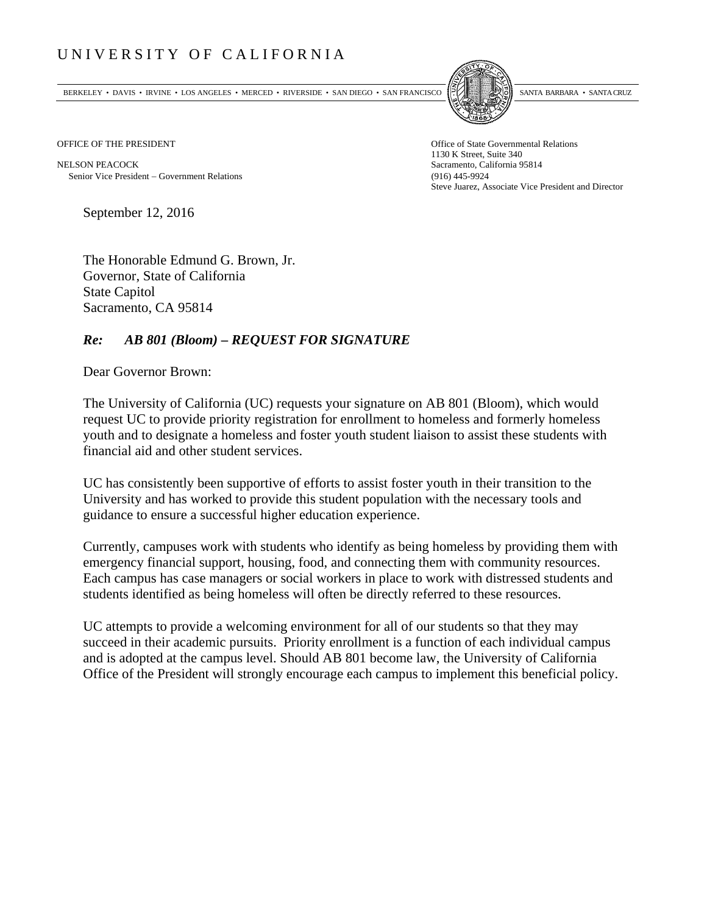## UNIVERSITY OF CALIFORNIA

BERKELEY • DAVIS • IRVINE • LOS ANGELES • MERCED • RIVERSIDE • SAN DIEGO • SAN FRANCISCO SANTA BARBARA • SANTA CRUZ



OFFICE OF THE PRESIDENT STATES OF THE PRESIDENT

NELSON PEACOCK Sacramento, California 95814 Senior Vice President Government Relations (916) 445-9924

1130 K Street, Suite 340 Steve Juarez, Associate Vice President and Director

September 12, 2016

The Honorable Edmund G. Brown, Jr. Governor, State of California State Capitol Sacramento, CA 95814

## *Re: AB 801 (Bloom) – REQUEST FOR SIGNATURE*

Dear Governor Brown:

The University of California (UC) requests your signature on AB 801 (Bloom), which would request UC to provide priority registration for enrollment to homeless and formerly homeless youth and to designate a homeless and foster youth student liaison to assist these students with financial aid and other student services.

UC has consistently been supportive of efforts to assist foster youth in their transition to the University and has worked to provide this student population with the necessary tools and guidance to ensure a successful higher education experience.

Currently, campuses work with students who identify as being homeless by providing them with emergency financial support, housing, food, and connecting them with community resources. Each campus has case managers or social workers in place to work with distressed students and students identified as being homeless will often be directly referred to these resources.

UC attempts to provide a welcoming environment for all of our students so that they may succeed in their academic pursuits. Priority enrollment is a function of each individual campus and is adopted at the campus level. Should AB 801 become law, the University of California Office of the President will strongly encourage each campus to implement this beneficial policy.